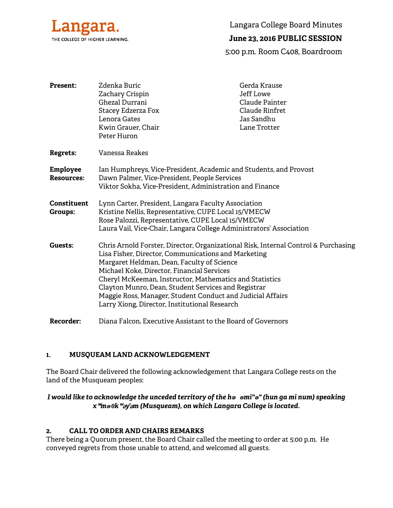

Langara College Board Minutes

# **June 23, 2016 PUBLIC SESSION**

5:00 p.m. Room C408, Boardroom

| <b>Present:</b>               | Zdenka Buric<br>Zachary Crispin<br>Ghezal Durrani                                                                 | Gerda Krause<br><b>Jeff Lowe</b><br>Claude Painter |
|-------------------------------|-------------------------------------------------------------------------------------------------------------------|----------------------------------------------------|
|                               | <b>Stacey Edzerza Fox</b>                                                                                         | Claude Rinfret                                     |
|                               | Lenora Gates                                                                                                      | Jas Sandhu                                         |
|                               | Kwin Grauer, Chair                                                                                                | Lane Trotter                                       |
|                               | Peter Huron                                                                                                       |                                                    |
| <b>Regrets:</b>               | Vanessa Reakes                                                                                                    |                                                    |
| Employee<br><b>Resources:</b> | Ian Humphreys, Vice-President, Academic and Students, and Provost<br>Dawn Palmer, Vice-President, People Services |                                                    |
|                               | Viktor Sokha, Vice-President, Administration and Finance                                                          |                                                    |
| Constituent<br>Groups:        | Lynn Carter, President, Langara Faculty Association                                                               |                                                    |
|                               | Kristine Nellis, Representative, CUPE Local 15/VMECW                                                              |                                                    |
|                               | Rose Palozzi, Representative, CUPE Local 15/VMECW                                                                 |                                                    |
|                               | Laura Vail, Vice-Chair, Langara College Administrators' Association                                               |                                                    |
| <b>Guests:</b>                | Chris Arnold Forster, Director, Organizational Risk, Internal Control & Purchasing                                |                                                    |
|                               | Lisa Fisher, Director, Communications and Marketing                                                               |                                                    |
|                               | Margaret Heldman, Dean, Faculty of Science                                                                        |                                                    |
|                               | Michael Koke, Director, Financial Services                                                                        |                                                    |
|                               | Cheryl McKeeman, Instructor, Mathematics and Statistics<br>Clayton Munro, Dean, Student Services and Registrar    |                                                    |
|                               | Maggie Ross, Manager, Student Conduct and Judicial Affairs                                                        |                                                    |
|                               | Larry Xiong, Director, Institutional Research                                                                     |                                                    |
| <b>Recorder:</b>              | Diana Falcon, Executive Assistant to the Board of Governors                                                       |                                                    |

### **1. MUSQUEAM LAND ACKNOWLEDGEMENT**

The Board Chair delivered the following acknowledgement that Langara College rests on the land of the Musqueam peoples:

# *I would like to acknowledge the unceded territory of the hə əmi"ə" (hun ga mi num) speaking x*ʷ*məθk*ʷə*y*̓ə*m (Musqueam), on which Langara College is located.*

## **2. CALL TO ORDER AND CHAIRS REMARKS**

There being a Quorum present, the Board Chair called the meeting to order at 5:00 p.m. He conveyed regrets from those unable to attend, and welcomed all guests.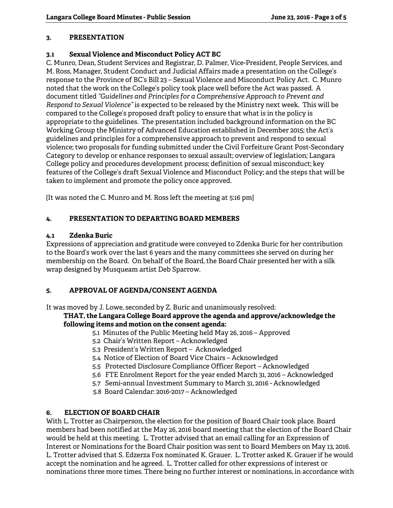## **3. PRESENTATION**

## **3.1 Sexual Violence and Misconduct Policy ACT BC**

C. Munro, Dean, Student Services and Registrar, D. Palmer, Vice-President, People Services, and M. Ross, Manager, Student Conduct and Judicial Affairs made a presentation on the College's response to the Province of BC's Bill 23 – Sexual Violence and Misconduct Policy Act. C. Munro noted that the work on the College's policy took place well before the Act was passed. A document titled *"Guidelines and Principles for a Comprehensive Approach to Prevent and Respond to Sexual Violence"* is expected to be released by the Ministry next week. This will be compared to the College's proposed draft policy to ensure that what is in the policy is appropriate to the guidelines. The presentation included background information on the BC Working Group the Ministry of Advanced Education established in December 2015; the Act's guidelines and principles for a comprehensive approach to prevent and respond to sexual violence; two proposals for funding submitted under the Civil Forfeiture Grant Post-Secondary Category to develop or enhance responses to sexual assault; overview of legislation; Langara College policy and procedures development process; definition of sexual misconduct; key features of the College's draft Sexual Violence and Misconduct Policy; and the steps that will be taken to implement and promote the policy once approved.

[It was noted the C. Munro and M. Ross left the meeting at 5:16 pm]

# **4. PRESENTATION TO DEPARTING BOARD MEMBERS**

## **4.1 Zdenka Buric**

Expressions of appreciation and gratitude were conveyed to Zdenka Buric for her contribution to the Board's work over the last 6 years and the many committees she served on during her membership on the Board. On behalf of the Board, the Board Chair presented her with a silk wrap designed by Musqueam artist Deb Sparrow.

# **5. APPROVAL OF AGENDA/CONSENT AGENDA**

It was moved by J. Lowe, seconded by Z. Buric and unanimously resolved:

# **THAT, the Langara College Board approve the agenda and approve/acknowledge the following items and motion on the consent agenda:**

- 5.1 Minutes of the Public Meeting held May 26, 2016 Approved
- 5.2 Chair's Written Report Acknowledged
- 5.3 President's Written Report Acknowledged
- 5.4 Notice of Election of Board Vice Chairs Acknowledged
- 5.5 Protected Disclosure Compliance Officer Report Acknowledged
- 5.6 FTE Enrolment Report for the year ended March 31, 2016 Acknowledged
- 5.7 Semi-annual Investment Summary to March 31, 2016 Acknowledged
- 5.8 Board Calendar: 2016-2017 Acknowledged

# **6. ELECTION OF BOARD CHAIR**

With L. Trotter as Chairperson, the election for the position of Board Chair took place. Board members had been notified at the May 26, 2016 board meeting that the election of the Board Chair would be held at this meeting. L. Trotter advised that an email calling for an Expression of Interest or Nominations for the Board Chair position was sent to Board Members on May 13, 2016. L. Trotter advised that S. Edzerza Fox nominated K. Grauer. L. Trotter asked K. Grauer if he would accept the nomination and he agreed. L. Trotter called for other expressions of interest or nominations three more times. There being no further interest or nominations, in accordance with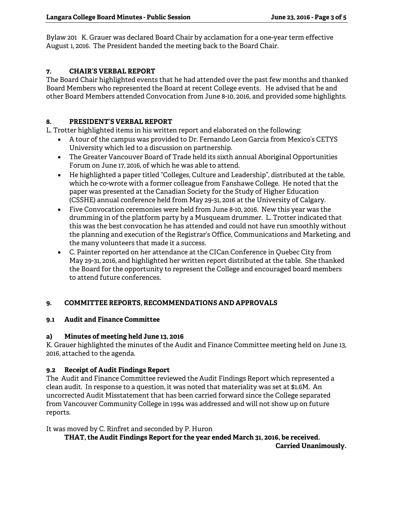Bylaw 201 K. Grauer was declared Board Chair by acclamation for a one-year term effective August 1, 2016. The President handed the meeting back to the Board Chair.

## **7. CHAIR'S VERBAL REPORT**

The Board Chair highlighted events that he had attended over the past few months and thanked Board Members who represented the Board at recent College events. He advised that he and other Board Members attended Convocation from June 8-10, 2016, and provided some highlights.

### **8. PRESIDENT'S VERBAL REPORT**

L. Trotter highlighted items in his written report and elaborated on the following:

- A tour of the campus was provided to Dr. Fernando Leon Garcia from Mexico's CETYS University which led to a discussion on partnership.
- The Greater Vancouver Board of Trade held its sixth annual Aboriginal Opportunities Forum on June 17, 2016, of which he was able to attend.
- He highlighted a paper titled "Colleges, Culture and Leadership", distributed at the table, which he co-wrote with a former colleague from Fanshawe College. He noted that the paper was presented at the Canadian Society for the Study of Higher Education (CSSHE) annual conference held from May 29-31, 2016 at the University of Calgary.
- Five Convocation ceremonies were held from June 8-10, 2016. New this year was the drumming in of the platform party by a Musqueam drummer. L. Trotter indicated that this was the best convocation he has attended and could not have run smoothly without the planning and execution of the Registrar's Office, Communications and Marketing, and the many volunteers that made it a success.
- C. Painter reported on her attendance at the CICan Conference in Quebec City from May 29-31, 2016, and highlighted her written report distributed at the table. She thanked the Board for the opportunity to represent the College and encouraged board members to attend future conferences.

### **9. COMMITTEE REPORTS, RECOMMENDATIONS AND APPROVALS**

### **9.1 Audit and Finance Committee**

### **a) Minutes of meeting held June 13, 2016**

K. Grauer highlighted the minutes of the Audit and Finance Committee meeting held on June 13, 2016, attached to the agenda.

### **9.2 Receipt of Audit Findings Report**

The Audit and Finance Committee reviewed the Audit Findings Report which represented a clean audit. In response to a question, it was noted that materiality was set at \$1.6M. An uncorrected Audit Misstatement that has been carried forward since the College separated from Vancouver Community College in 1994 was addressed and will not show up on future reports.

It was moved by C. Rinfret and seconded by P. Huron

 **THAT, the Audit Findings Report for the year ended March 31, 2016, be received. Carried Unanimously.**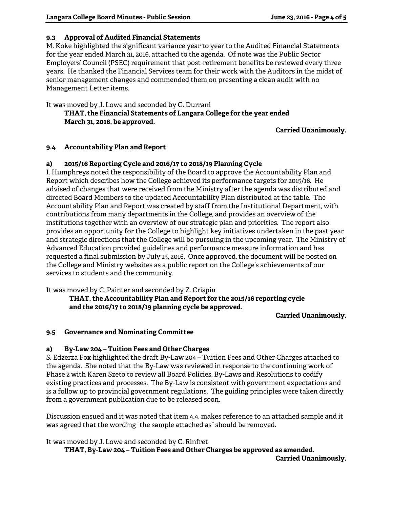## **9.3 Approval of Audited Financial Statements**

M. Koke highlighted the significant variance year to year to the Audited Financial Statements for the year ended March 31, 2016, attached to the agenda. Of note was the Public Sector Employers' Council (PSEC) requirement that post-retirement benefits be reviewed every three years. He thanked the Financial Services team for their work with the Auditors in the midst of senior management changes and commended them on presenting a clean audit with no Management Letter items.

It was moved by J. Lowe and seconded by G. Durrani  **THAT, the Financial Statements of Langara College for the year ended March 31, 2016, be approved.** 

**Carried Unanimously.** 

## **9.4 Accountability Plan and Report**

## **a) 2015/16 Reporting Cycle and 2016/17 to 2018/19 Planning Cycle**

I. Humphreys noted the responsibility of the Board to approve the Accountability Plan and Report which describes how the College achieved its performance targets for 2015/16. He advised of changes that were received from the Ministry after the agenda was distributed and directed Board Members to the updated Accountability Plan distributed at the table. The Accountability Plan and Report was created by staff from the Institutional Department, with contributions from many departments in the College, and provides an overview of the institutions together with an overview of our strategic plan and priorities. The report also provides an opportunity for the College to highlight key initiatives undertaken in the past year and strategic directions that the College will be pursuing in the upcoming year. The Ministry of Advanced Education provided guidelines and performance measure information and has requested a final submission by July 15, 2016. Once approved, the document will be posted on the College and Ministry websites as a public report on the College's achievements of our services to students and the community.

It was moved by C. Painter and seconded by Z. Crispin

 **THAT, the Accountability Plan and Report for the 2015/16 reporting cycle and the 2016/17 to 2018/19 planning cycle be approved.** 

**Carried Unanimously.** 

### **9.5 Governance and Nominating Committee**

### **a) By-Law 204 – Tuition Fees and Other Charges**

S. Edzerza Fox highlighted the draft By-Law 204 – Tuition Fees and Other Charges attached to the agenda. She noted that the By-Law was reviewed in response to the continuing work of Phase 2 with Karen Szeto to review all Board Policies, By-Laws and Resolutions to codify existing practices and processes. The By-Law is consistent with government expectations and is a follow up to provincial government regulations. The guiding principles were taken directly from a government publication due to be released soon.

Discussion ensued and it was noted that item 4.4. makes reference to an attached sample and it was agreed that the wording "the sample attached as" should be removed.

It was moved by J. Lowe and seconded by C. Rinfret

 **THAT, By-Law 204 – Tuition Fees and Other Charges be approved as amended. Carried Unanimously.**